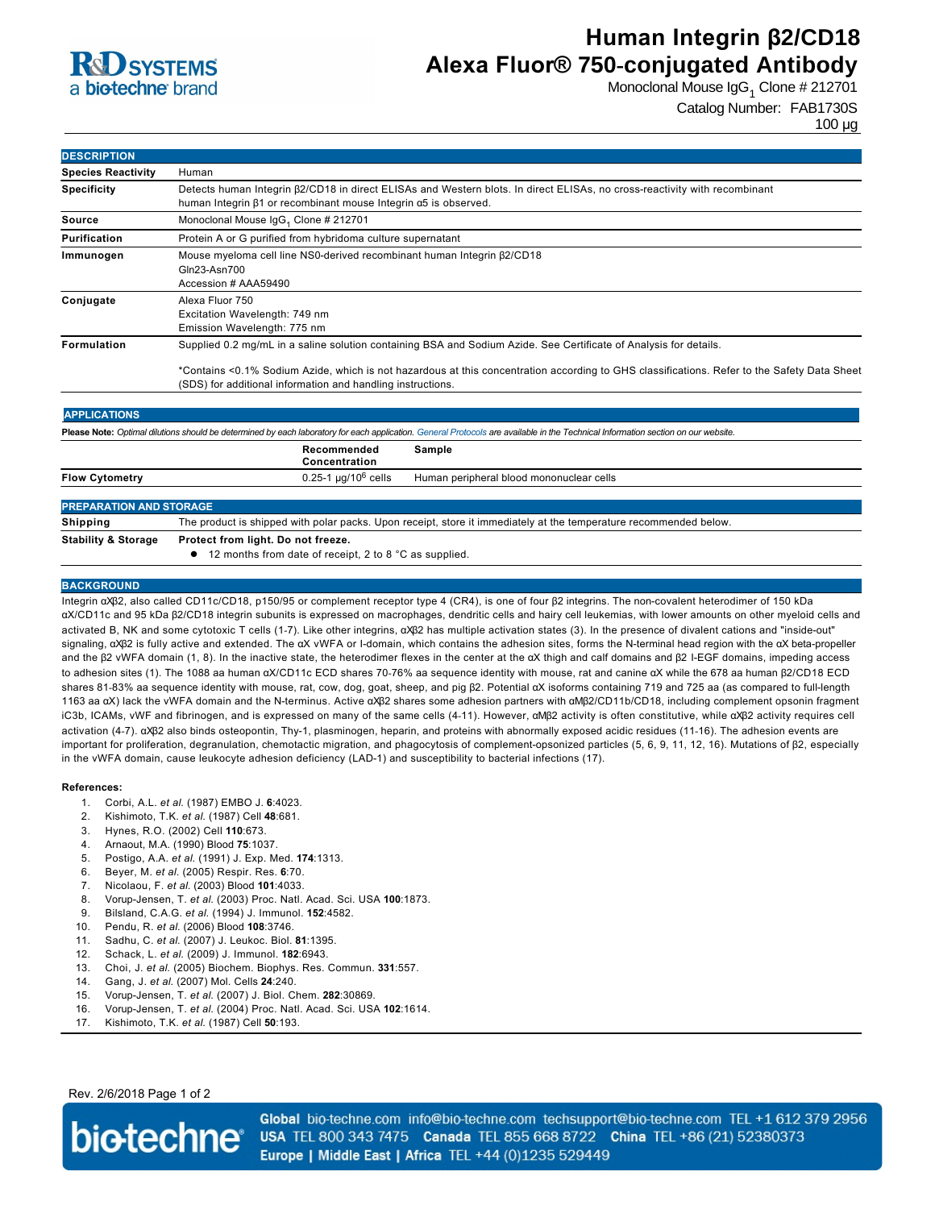

# **Human Integrin β2/CD18 Alexa Fluor® 750-conjugated Antibody**

Monoclonal Mouse IgG<sub>1</sub> Clone # 212701

Catalog Number: FAB1730S

100 µg

| <b>DESCRIPTION</b>             |                                                                                                                                                                                                                                                                                                                                 |
|--------------------------------|---------------------------------------------------------------------------------------------------------------------------------------------------------------------------------------------------------------------------------------------------------------------------------------------------------------------------------|
| <b>Species Reactivity</b>      | Human                                                                                                                                                                                                                                                                                                                           |
| <b>Specificity</b>             | Detects human Integrin $\beta$ 2/CD18 in direct ELISAs and Western blots. In direct ELISAs, no cross-reactivity with recombinant<br>human Integrin β1 or recombinant mouse Integrin α5 is observed.                                                                                                                             |
| <b>Source</b>                  | Monoclonal Mouse IgG <sub>1</sub> Clone # 212701                                                                                                                                                                                                                                                                                |
| Purification                   | Protein A or G purified from hybridoma culture supernatant                                                                                                                                                                                                                                                                      |
| Immunogen                      | Mouse myeloma cell line NS0-derived recombinant human Integrin $\beta$ 2/CD18<br>Gln23-Asn700<br>Accession # AAA59490                                                                                                                                                                                                           |
| Conjugate                      | Alexa Fluor 750<br>Excitation Wavelength: 749 nm<br>Emission Wavelength: 775 nm                                                                                                                                                                                                                                                 |
| Formulation                    | Supplied 0.2 mg/mL in a saline solution containing BSA and Sodium Azide. See Certificate of Analysis for details.<br>*Contains <0.1% Sodium Azide, which is not hazardous at this concentration according to GHS classifications. Refer to the Safety Data Sheet<br>(SDS) for additional information and handling instructions. |
| <b>APPLICATIONS</b>            |                                                                                                                                                                                                                                                                                                                                 |
|                                | Please Note: Optimal dilutions should be determined by each laboratory for each application. General Protocols are available in the Technical Information section on our website.                                                                                                                                               |
|                                | Recommended<br>Sample<br>Concentration                                                                                                                                                                                                                                                                                          |
| <b>Flow Cytometry</b>          | $0.25 - 1$ µg/10 <sup>6</sup> cells<br>Human peripheral blood mononuclear cells                                                                                                                                                                                                                                                 |
| <b>PREPARATION AND STORAGE</b> |                                                                                                                                                                                                                                                                                                                                 |
| <b>Shipping</b>                | The product is shipped with polar packs. Upon receipt, store it immediately at the temperature recommended below.                                                                                                                                                                                                               |
| <b>Stability &amp; Storage</b> | Protect from light. Do not freeze.                                                                                                                                                                                                                                                                                              |
|                                | 12 months from date of receipt, 2 to 8 °C as supplied.                                                                                                                                                                                                                                                                          |

#### **BACKGROUND**

Integrin αXβ2, also called CD11c/CD18, p150/95 or complement receptor type 4 (CR4), is one of four β2 integrins. The noncovalent heterodimer of 150 kDa αX/CD11c and 95 kDa β2/CD18 integrin subunits is expressed on macrophages, dendritic cells and hairy cell leukemias, with lower amounts on other myeloid cells and activated B, NK and some cytotoxic T cells (1-7). Like other integrins, αXβ2 has multiple activation states (3). In the presence of divalent cations and "inside-out" signaling, αXβ2 is fully active and extended. The αX vWFA or I-domain, which contains the adhesion sites, forms the N-terminal head region with the αX beta-propeller and the β2 vWFA domain (1, 8). In the inactive state, the heterodimer flexes in the center at the αX thigh and calf domains and β2 IEGF domains, impeding access to adhesion sites (1). The 1088 aa human αX/CD11c ECD shares 7076% aa sequence identity with mouse, rat and canine αX while the 678 aa human β2/CD18 ECD shares 8183% aa sequence identity with mouse, rat, cow, dog, goat, sheep, and pig β2. Potential αX isoforms containing 719 and 725 aa (as compared to fulllength 1163 aa αX) lack the vWFA domain and the Nterminus. Active αXβ2 shares some adhesion partners with αMβ2/CD11b/CD18, including complement opsonin fragment iC3b, ICAMs, vWF and fibrinogen, and is expressed on many of the same cells (411). However, αMβ2 activity is often constitutive, while αXβ2 activity requires cell activation (47). αXβ2 also binds osteopontin, Thy1, plasminogen, heparin, and proteins with abnormally exposed acidic residues (1116). The adhesion events are important for proliferation, degranulation, chemotactic migration, and phagocytosis of complement-opsonized particles (5, 6, 9, 11, 12, 16). Mutations of β2, especially in the vWFA domain, cause leukocyte adhesion deficiency (LAD-1) and susceptibility to bacterial infections (17).

#### **References:**

- 1. Corbi, A.L. *et al*. (1987) EMBO J. **6**:4023.
- 2. Kishimoto, T.K. *et al*. (1987) Cell **48**:681.
- 3. Hynes, R.O. (2002) Cell **110**:673.
- 4. Arnaout, M.A. (1990) Blood **75**:1037.
- 5. Postigo, A.A. *et al*. (1991) J. Exp. Med. **174**:1313.
- 6. Beyer, M. *et al*. (2005) Respir. Res. **6**:70.
- 7. Nicolaou, F. *et al*. (2003) Blood **101**:4033.
- 8. VorupJensen, T. *et al*. (2003) Proc. Natl. Acad. Sci. USA **100**:1873.
- 9. Bilsland, C.A.G. *et al*. (1994) J. Immunol. **152**:4582.
- 10. Pendu, R. *et al*. (2006) Blood **108**:3746.
- 11. Sadhu, C. *et al*. (2007) J. Leukoc. Biol. **81**:1395.
- 12. Schack, L. *et al*. (2009) J. Immunol. **182**:6943.
- 13. Choi, J. *et al*. (2005) Biochem. Biophys. Res. Commun. **331**:557.
- 14. Gang, J. *et al*. (2007) Mol. Cells **24**:240.
- 15. Vorup-Jensen, T. et al. (2007) J. Biol. Chem. 282:30869.
- 16. VorupJensen, T. *et al*. (2004) Proc. Natl. Acad. Sci. USA **102**:1614.
- 17. Kishimoto, T.K. *et al*. (1987) Cell **50**:193.

Rev. 2/6/2018 Page 1 of 2



Global bio-techne.com info@bio-techne.com techsupport@bio-techne.com TEL +1 612 379 2956 USA TEL 800 343 7475 Canada TEL 855 668 8722 China TEL +86 (21) 52380373 Europe | Middle East | Africa TEL +44 (0)1235 529449